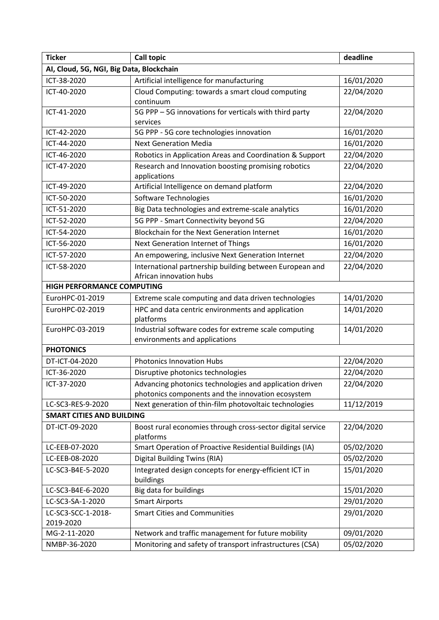| <b>Ticker</b>                            | <b>Call topic</b>                                                                                            | deadline   |  |  |
|------------------------------------------|--------------------------------------------------------------------------------------------------------------|------------|--|--|
| AI, Cloud, 5G, NGI, Big Data, Blockchain |                                                                                                              |            |  |  |
| ICT-38-2020                              | Artificial intelligence for manufacturing                                                                    | 16/01/2020 |  |  |
| ICT-40-2020                              | Cloud Computing: towards a smart cloud computing<br>continuum                                                | 22/04/2020 |  |  |
| ICT-41-2020                              | 5G PPP - 5G innovations for verticals with third party<br>services                                           | 22/04/2020 |  |  |
| ICT-42-2020                              | 5G PPP - 5G core technologies innovation                                                                     | 16/01/2020 |  |  |
| ICT-44-2020                              | <b>Next Generation Media</b>                                                                                 | 16/01/2020 |  |  |
| ICT-46-2020                              | Robotics in Application Areas and Coordination & Support                                                     | 22/04/2020 |  |  |
| ICT-47-2020                              | Research and Innovation boosting promising robotics<br>applications                                          | 22/04/2020 |  |  |
| ICT-49-2020                              | Artificial Intelligence on demand platform                                                                   | 22/04/2020 |  |  |
| ICT-50-2020                              | Software Technologies                                                                                        | 16/01/2020 |  |  |
| ICT-51-2020                              | Big Data technologies and extreme-scale analytics                                                            | 16/01/2020 |  |  |
| ICT-52-2020                              | 5G PPP - Smart Connectivity beyond 5G                                                                        | 22/04/2020 |  |  |
| ICT-54-2020                              | Blockchain for the Next Generation Internet                                                                  | 16/01/2020 |  |  |
| ICT-56-2020                              | Next Generation Internet of Things                                                                           | 16/01/2020 |  |  |
| ICT-57-2020                              | An empowering, inclusive Next Generation Internet                                                            | 22/04/2020 |  |  |
| ICT-58-2020                              | International partnership building between European and<br>African innovation hubs                           | 22/04/2020 |  |  |
| <b>HIGH PERFORMANCE COMPUTING</b>        |                                                                                                              |            |  |  |
| EuroHPC-01-2019                          | Extreme scale computing and data driven technologies                                                         | 14/01/2020 |  |  |
| EuroHPC-02-2019                          | HPC and data centric environments and application<br>platforms                                               | 14/01/2020 |  |  |
| EuroHPC-03-2019                          | Industrial software codes for extreme scale computing<br>environments and applications                       | 14/01/2020 |  |  |
| <b>PHOTONICS</b>                         |                                                                                                              |            |  |  |
| DT-ICT-04-2020                           | <b>Photonics Innovation Hubs</b>                                                                             | 22/04/2020 |  |  |
| ICT-36-2020                              | Disruptive photonics technologies                                                                            | 22/04/2020 |  |  |
| ICT-37-2020                              | Advancing photonics technologies and application driven<br>photonics components and the innovation ecosystem | 22/04/2020 |  |  |
| LC-SC3-RES-9-2020                        | Next generation of thin-film photovoltaic technologies                                                       | 11/12/2019 |  |  |
| <b>SMART CITIES AND BUILDING</b>         |                                                                                                              |            |  |  |
| DT-ICT-09-2020                           | Boost rural economies through cross-sector digital service<br>platforms                                      | 22/04/2020 |  |  |
| LC-EEB-07-2020                           | Smart Operation of Proactive Residential Buildings (IA)                                                      | 05/02/2020 |  |  |
| LC-EEB-08-2020                           | <b>Digital Building Twins (RIA)</b>                                                                          | 05/02/2020 |  |  |
| LC-SC3-B4E-5-2020                        | Integrated design concepts for energy-efficient ICT in<br>buildings                                          | 15/01/2020 |  |  |
| LC-SC3-B4E-6-2020                        | Big data for buildings                                                                                       | 15/01/2020 |  |  |
| LC-SC3-SA-1-2020                         | <b>Smart Airports</b>                                                                                        | 29/01/2020 |  |  |
| LC-SC3-SCC-1-2018-<br>2019-2020          | <b>Smart Cities and Communities</b>                                                                          | 29/01/2020 |  |  |
| MG-2-11-2020                             | Network and traffic management for future mobility                                                           | 09/01/2020 |  |  |
| NMBP-36-2020                             | Monitoring and safety of transport infrastructures (CSA)                                                     | 05/02/2020 |  |  |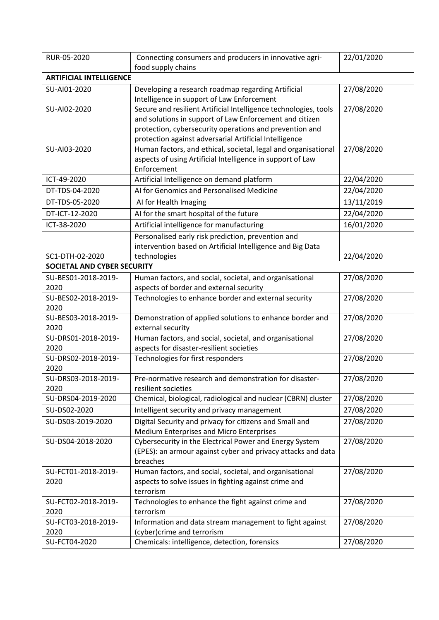| RUR-05-2020                    | Connecting consumers and producers in innovative agri-                                          | 22/01/2020 |  |  |
|--------------------------------|-------------------------------------------------------------------------------------------------|------------|--|--|
|                                | food supply chains                                                                              |            |  |  |
| <b>ARTIFICIAL INTELLIGENCE</b> |                                                                                                 |            |  |  |
| SU-AI01-2020                   | Developing a research roadmap regarding Artificial                                              | 27/08/2020 |  |  |
|                                | Intelligence in support of Law Enforcement                                                      |            |  |  |
| SU-AI02-2020                   | Secure and resilient Artificial Intelligence technologies, tools                                | 27/08/2020 |  |  |
|                                | and solutions in support of Law Enforcement and citizen                                         |            |  |  |
|                                | protection, cybersecurity operations and prevention and                                         |            |  |  |
|                                | protection against adversarial Artificial Intelligence                                          |            |  |  |
| SU-AI03-2020                   | Human factors, and ethical, societal, legal and organisational                                  | 27/08/2020 |  |  |
|                                | aspects of using Artificial Intelligence in support of Law<br>Enforcement                       |            |  |  |
| ICT-49-2020                    | Artificial Intelligence on demand platform                                                      | 22/04/2020 |  |  |
| DT-TDS-04-2020                 | Al for Genomics and Personalised Medicine                                                       | 22/04/2020 |  |  |
| DT-TDS-05-2020                 |                                                                                                 | 13/11/2019 |  |  |
|                                | AI for Health Imaging                                                                           |            |  |  |
| DT-ICT-12-2020                 | Al for the smart hospital of the future                                                         | 22/04/2020 |  |  |
| ICT-38-2020                    | Artificial intelligence for manufacturing                                                       | 16/01/2020 |  |  |
|                                | Personalised early risk prediction, prevention and                                              |            |  |  |
|                                | intervention based on Artificial Intelligence and Big Data                                      |            |  |  |
| SC1-DTH-02-2020                | technologies                                                                                    | 22/04/2020 |  |  |
| SOCIETAL AND CYBER SECURITY    |                                                                                                 |            |  |  |
| SU-BES01-2018-2019-            | Human factors, and social, societal, and organisational                                         | 27/08/2020 |  |  |
| 2020<br>SU-BES02-2018-2019-    | aspects of border and external security<br>Technologies to enhance border and external security | 27/08/2020 |  |  |
| 2020                           |                                                                                                 |            |  |  |
| SU-BES03-2018-2019-            | Demonstration of applied solutions to enhance border and                                        | 27/08/2020 |  |  |
| 2020                           | external security                                                                               |            |  |  |
| SU-DRS01-2018-2019-            | Human factors, and social, societal, and organisational                                         | 27/08/2020 |  |  |
| 2020                           | aspects for disaster-resilient societies                                                        |            |  |  |
| SU-DRS02-2018-2019-            | Technologies for first responders                                                               | 27/08/2020 |  |  |
| 2020                           |                                                                                                 |            |  |  |
| SU-DRS03-2018-2019-            | Pre-normative research and demonstration for disaster-                                          | 27/08/2020 |  |  |
| 2020                           | resilient societies                                                                             |            |  |  |
| SU-DRS04-2019-2020             | Chemical, biological, radiological and nuclear (CBRN) cluster                                   | 27/08/2020 |  |  |
| SU-DS02-2020                   | Intelligent security and privacy management                                                     | 27/08/2020 |  |  |
| SU-DS03-2019-2020              | Digital Security and privacy for citizens and Small and                                         | 27/08/2020 |  |  |
|                                | Medium Enterprises and Micro Enterprises                                                        |            |  |  |
| SU-DS04-2018-2020              | Cybersecurity in the Electrical Power and Energy System                                         | 27/08/2020 |  |  |
|                                | (EPES): an armour against cyber and privacy attacks and data                                    |            |  |  |
| SU-FCT01-2018-2019-            | breaches<br>Human factors, and social, societal, and organisational                             | 27/08/2020 |  |  |
| 2020                           | aspects to solve issues in fighting against crime and                                           |            |  |  |
|                                | terrorism                                                                                       |            |  |  |
| SU-FCT02-2018-2019-            | Technologies to enhance the fight against crime and                                             | 27/08/2020 |  |  |
| 2020                           | terrorism                                                                                       |            |  |  |
| SU-FCT03-2018-2019-            | Information and data stream management to fight against                                         | 27/08/2020 |  |  |
| 2020                           | (cyber) crime and terrorism                                                                     |            |  |  |
| SU-FCT04-2020                  | Chemicals: intelligence, detection, forensics                                                   | 27/08/2020 |  |  |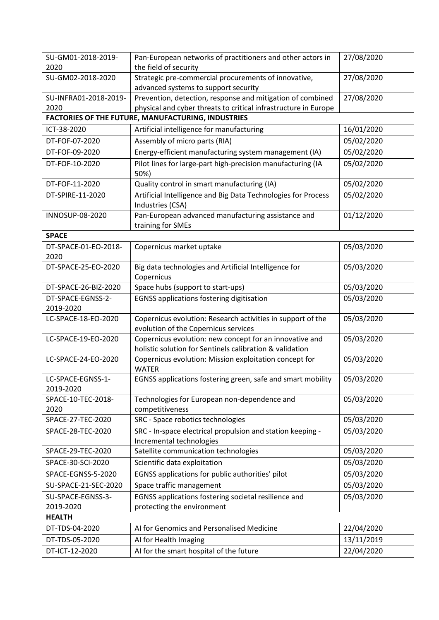| 2020<br>the field of security                                                                                                                            |  |  |  |  |
|----------------------------------------------------------------------------------------------------------------------------------------------------------|--|--|--|--|
| Strategic pre-commercial procurements of innovative,<br>27/08/2020<br>SU-GM02-2018-2020<br>advanced systems to support security                          |  |  |  |  |
| Prevention, detection, response and mitigation of combined<br>27/08/2020<br>SU-INFRA01-2018-2019-                                                        |  |  |  |  |
| 2020<br>physical and cyber threats to critical infrastructure in Europe                                                                                  |  |  |  |  |
| FACTORIES OF THE FUTURE, MANUFACTURING, INDUSTRIES                                                                                                       |  |  |  |  |
| Artificial intelligence for manufacturing<br>16/01/2020<br>ICT-38-2020                                                                                   |  |  |  |  |
| 05/02/2020<br>DT-FOF-07-2020<br>Assembly of micro parts (RIA)                                                                                            |  |  |  |  |
| Energy-efficient manufacturing system management (IA)<br>05/02/2020<br>DT-FOF-09-2020                                                                    |  |  |  |  |
| Pilot lines for large-part high-precision manufacturing (IA<br>05/02/2020<br>DT-FOF-10-2020<br>50%)                                                      |  |  |  |  |
| Quality control in smart manufacturing (IA)<br>05/02/2020<br>DT-FOF-11-2020                                                                              |  |  |  |  |
| Artificial Intelligence and Big Data Technologies for Process<br>05/02/2020<br>DT-SPIRE-11-2020                                                          |  |  |  |  |
| Industries (CSA)                                                                                                                                         |  |  |  |  |
| Pan-European advanced manufacturing assistance and<br>01/12/2020<br>INNOSUP-08-2020                                                                      |  |  |  |  |
| training for SMEs                                                                                                                                        |  |  |  |  |
| <b>SPACE</b>                                                                                                                                             |  |  |  |  |
| Copernicus market uptake<br>05/03/2020<br>DT-SPACE-01-EO-2018-                                                                                           |  |  |  |  |
| 2020                                                                                                                                                     |  |  |  |  |
| DT-SPACE-25-EO-2020<br>Big data technologies and Artificial Intelligence for<br>05/03/2020<br>Copernicus                                                 |  |  |  |  |
| Space hubs (support to start-ups)<br>05/03/2020<br>DT-SPACE-26-BIZ-2020                                                                                  |  |  |  |  |
| <b>EGNSS applications fostering digitisation</b><br>05/03/2020<br>DT-SPACE-EGNSS-2-                                                                      |  |  |  |  |
| 2019-2020                                                                                                                                                |  |  |  |  |
| Copernicus evolution: Research activities in support of the<br>05/03/2020<br>LC-SPACE-18-EO-2020<br>evolution of the Copernicus services                 |  |  |  |  |
| Copernicus evolution: new concept for an innovative and<br>05/03/2020<br>LC-SPACE-19-EO-2020<br>holistic solution for Sentinels calibration & validation |  |  |  |  |
| Copernicus evolution: Mission exploitation concept for<br>05/03/2020<br>LC-SPACE-24-EO-2020<br><b>WATER</b>                                              |  |  |  |  |
| EGNSS applications fostering green, safe and smart mobility<br>05/03/2020<br>LC-SPACE-EGNSS-1-                                                           |  |  |  |  |
| 2019-2020                                                                                                                                                |  |  |  |  |
| Technologies for European non-dependence and<br>05/03/2020<br>SPACE-10-TEC-2018-<br>2020<br>competitiveness                                              |  |  |  |  |
| SPACE-27-TEC-2020<br>SRC - Space robotics technologies<br>05/03/2020                                                                                     |  |  |  |  |
| SRC - In-space electrical propulsion and station keeping -<br>05/03/2020<br>SPACE-28-TEC-2020<br>Incremental technologies                                |  |  |  |  |
| Satellite communication technologies<br>05/03/2020<br>SPACE-29-TEC-2020                                                                                  |  |  |  |  |
| Scientific data exploitation<br>05/03/2020<br>SPACE-30-SCI-2020                                                                                          |  |  |  |  |
| EGNSS applications for public authorities' pilot<br>05/03/2020<br>SPACE-EGNSS-5-2020                                                                     |  |  |  |  |
| Space traffic management<br>05/03/2020<br>SU-SPACE-21-SEC-2020                                                                                           |  |  |  |  |
| EGNSS applications fostering societal resilience and<br>05/03/2020<br>SU-SPACE-EGNSS-3-                                                                  |  |  |  |  |
| protecting the environment<br>2019-2020                                                                                                                  |  |  |  |  |
| <b>HEALTH</b>                                                                                                                                            |  |  |  |  |
| Al for Genomics and Personalised Medicine<br>22/04/2020<br>DT-TDS-04-2020                                                                                |  |  |  |  |
| 13/11/2019<br>DT-TDS-05-2020<br>AI for Health Imaging                                                                                                    |  |  |  |  |
| AI for the smart hospital of the future<br>22/04/2020<br>DT-ICT-12-2020                                                                                  |  |  |  |  |